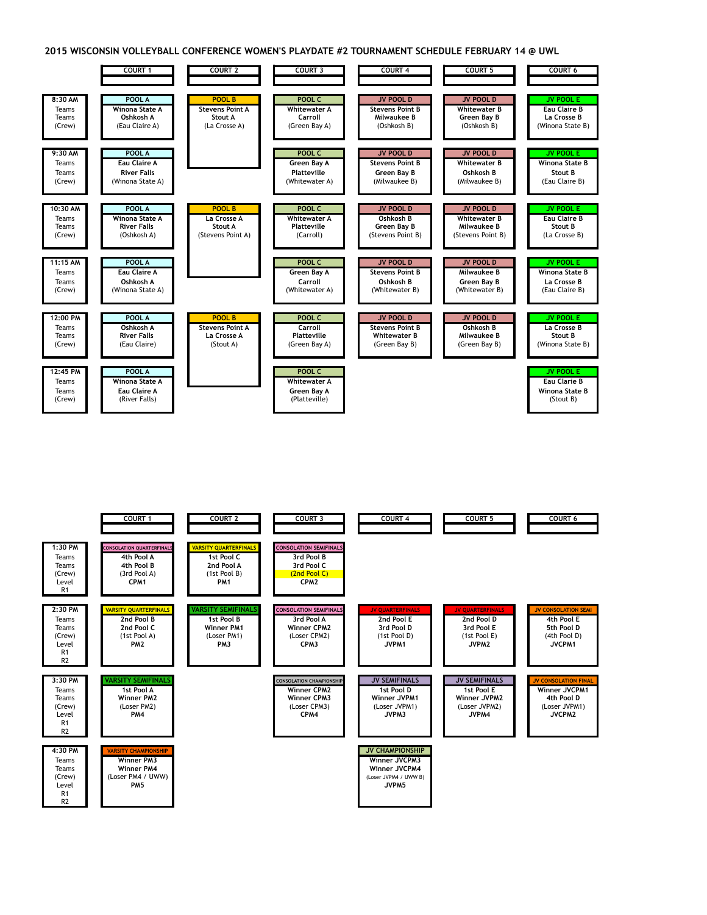**2015 WISCONSIN VOLLEYBALL CONFERENCE WOMEN'S PLAYDATE #2 TOURNAMENT SCHEDULE FEBRUARY 14 @ UWL**



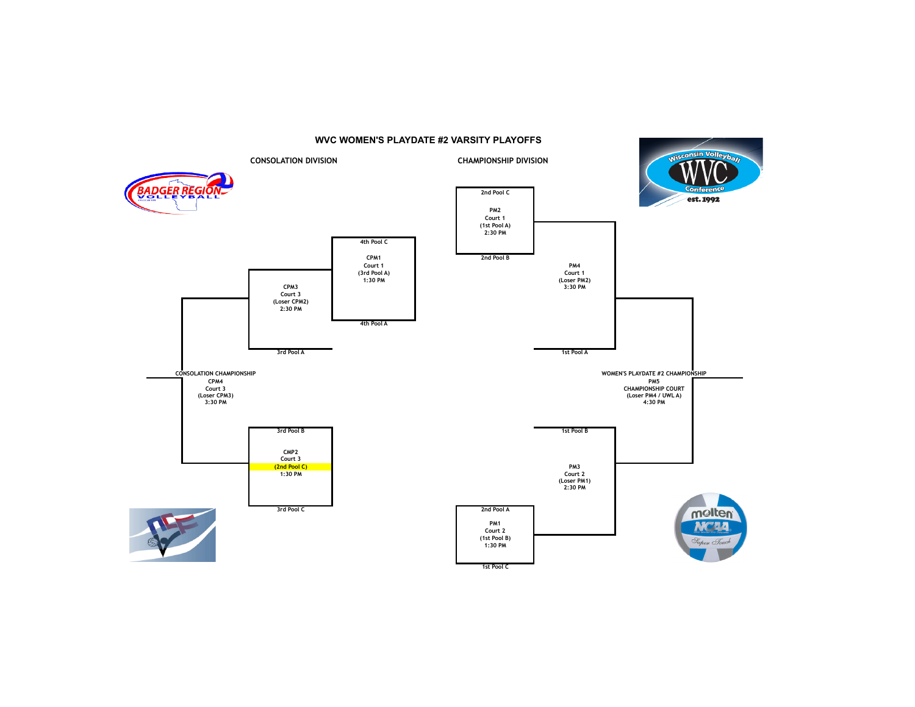